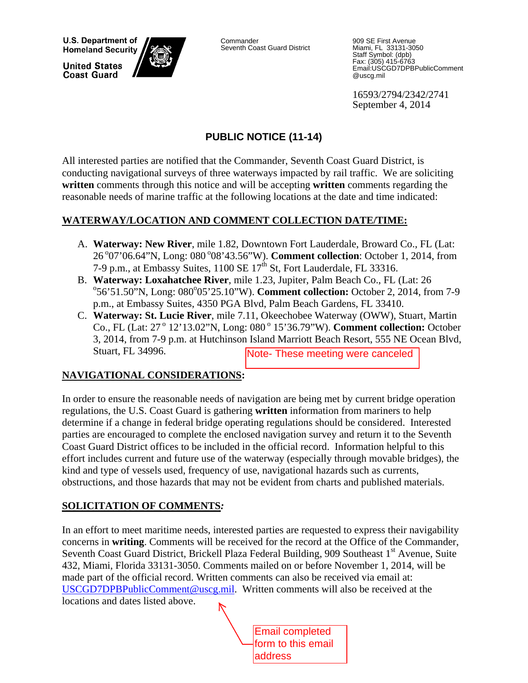**U.S. Department of Homeland Security** 

**United States Coast Guard** 



Commander Seventh Coast Guard District

909 SE First Avenue Miami, FL 33131-3050 Staff Symbol: (dpb) Fax: (305) 415-6763 Email:USCGD7DPBPublicComment @uscg.mil

16593/2794/2342/2741 September 4, 2014

## **PUBLIC NOTICE (11-14)**

All interested parties are notified that the Commander, Seventh Coast Guard District, is conducting navigational surveys of three waterways impacted by rail traffic. We are soliciting **written** comments through this notice and will be accepting **written** comments regarding the reasonable needs of marine traffic at the following locations at the date and time indicated:

### **WATERWAY/LOCATION AND COMMENT COLLECTION DATE/TIME:**

- A. **Waterway: New River**, mile 1.82, Downtown Fort Lauderdale, Broward Co., FL (Lat: 26 ° 07'06.64"N, Long: 080 ° 08' 43.56"W). **Comment collection**: October 1, 2014, from 7-9 p.m., at Embassy Suites,  $1100$  SE  $17<sup>th</sup>$  St, Fort Lauderdale, FL 33316.
- B. Waterway: Loxahatchee River, mile 1.23, Jupiter, Palm Beach Co., FL (Lat: 26 56'51.50"N, Long: 080°05'25.10"W). **Comment collection:** October 2, 2014, from 7-9 p.m., at Embassy Suites, 4350 PGA Blvd, Palm Beach Gardens, FL 33410.
- C. **Waterway: St. Lucie River**, mile 7.11, Okeechobee Waterway (OWW), Stuart, Martin Co., FL (Lat: 27<sup>°</sup> 12'13.02"N, Long: 080<sup>°</sup> 15'36.79"W). **Comment collection:** October 3, 2014, from 7-9 p.m. at Hutchinson Island Marriott Beach Resort, 555 NE Ocean Blvd, Stuart, FL 34996.

### **NAVIGATIONAL CONSIDERATIONS:**

In order to ensure the reasonable needs of navigation are being met by current bridge operation regulations, the U.S. Coast Guard is gathering **written** information from mariners to help determine if a change in federal bridge operating regulations should be considered. Interested parties are encouraged to complete the enclosed navigation survey and return it to the Seventh Coast Guard District offices to be included in the official record. Information helpful to this effort includes current and future use of the waterway (especially through movable bridges), the kind and type of vessels used, frequency of use, navigational hazards such as currents, obstructions, and those hazards that may not be evident from charts and published materials. Note- These meeting were canceled<br>
vigation are being met by current bridge<br>
g written information from mariners to<br>
ting regulations should be considered. I<br>
sed navigation survey and return it to the<br>
n the official rec

### **SOLICITATION OF COMMENTS***:*

In an effort to meet maritime needs, interested parties are requested to express their navigability concerns in **writing**. Comments will be received for the record at the Office of the Commander, Seventh Coast Guard District, Brickell Plaza Federal Building, 909 Southeast 1<sup>st</sup> Avenue, Suite 432, Miami, Florida 33131-3050. Comments mailed on or before November 1, 2014, will be made part of the official record. Written comments can also be received via email at: USCGD7DPBPublicComment@uscg.mil. Written comments will also be received at the locations and dates listed above.

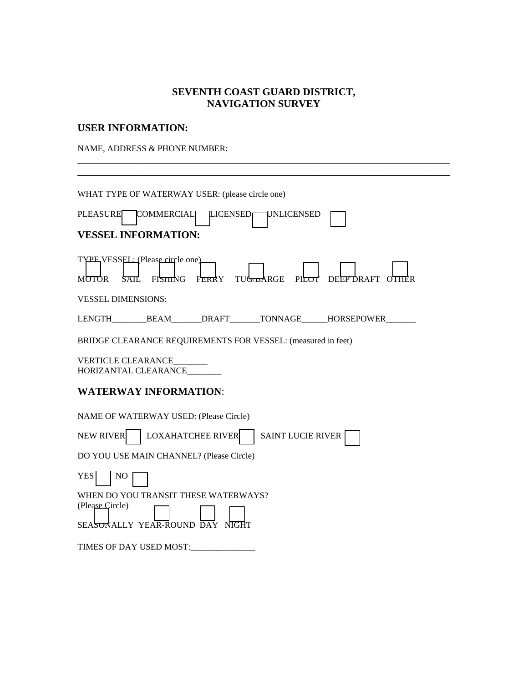#### **SEVENTH COAST GUARD DISTRICT, NAVIGATION SURVEY**

\_\_\_\_\_\_\_\_\_\_\_\_\_\_\_\_\_\_\_\_\_\_\_\_\_\_\_\_\_\_\_\_\_\_\_\_\_\_\_\_\_\_\_\_\_\_\_\_\_\_\_\_\_\_\_\_\_\_\_\_\_\_\_\_\_\_\_\_\_\_\_\_

### **USER INFORMATION:**

NAME, ADDRESS & PHONE NUMBER:

| WHAT TYPE OF WATERWAY USER: (please circle one)                                                                                           |
|-------------------------------------------------------------------------------------------------------------------------------------------|
| <b>PLEASURE</b><br>COMMERCIAL LICENSED<br>UNLICENSED                                                                                      |
| <b>VESSEL INFORMATION:</b>                                                                                                                |
| TYPE VESSEL: (Please circle one)<br><b>FISHING</b><br>FERRY<br>TU <del>G/BA</del> RGE<br><b>MOTOR</b><br>PILOT<br>DEEPDRAFT OTHER<br>SAIL |
| <b>VESSEL DIMENSIONS:</b>                                                                                                                 |
| LENGTH BEAM DRAFT TONNAGE HORSEPOWER                                                                                                      |
| BRIDGE CLEARANCE REQUIREMENTS FOR VESSEL: (measured in feet)                                                                              |
| <b>VERTICLE CLEARANCE</b><br>HORIZANTAL CLEARANCE                                                                                         |
| <b>WATERWAY INFORMATION:</b>                                                                                                              |
| NAME OF WATERWAY USED: (Please Circle)                                                                                                    |
| <b>LOXAHATCHEE RIVER</b><br><b>NEW RIVER</b><br><b>SAINT LUCIE RIVER</b>                                                                  |
| DO YOU USE MAIN CHANNEL? (Please Circle)                                                                                                  |
| <b>YES</b><br>NO                                                                                                                          |
| WHEN DO YOU TRANSIT THESE WATERWAYS?<br>(Please Circle)<br>SEASONALLY YEAR-ROUND DAY NIGHT                                                |
| TIMES OF DAY USED MOST:                                                                                                                   |